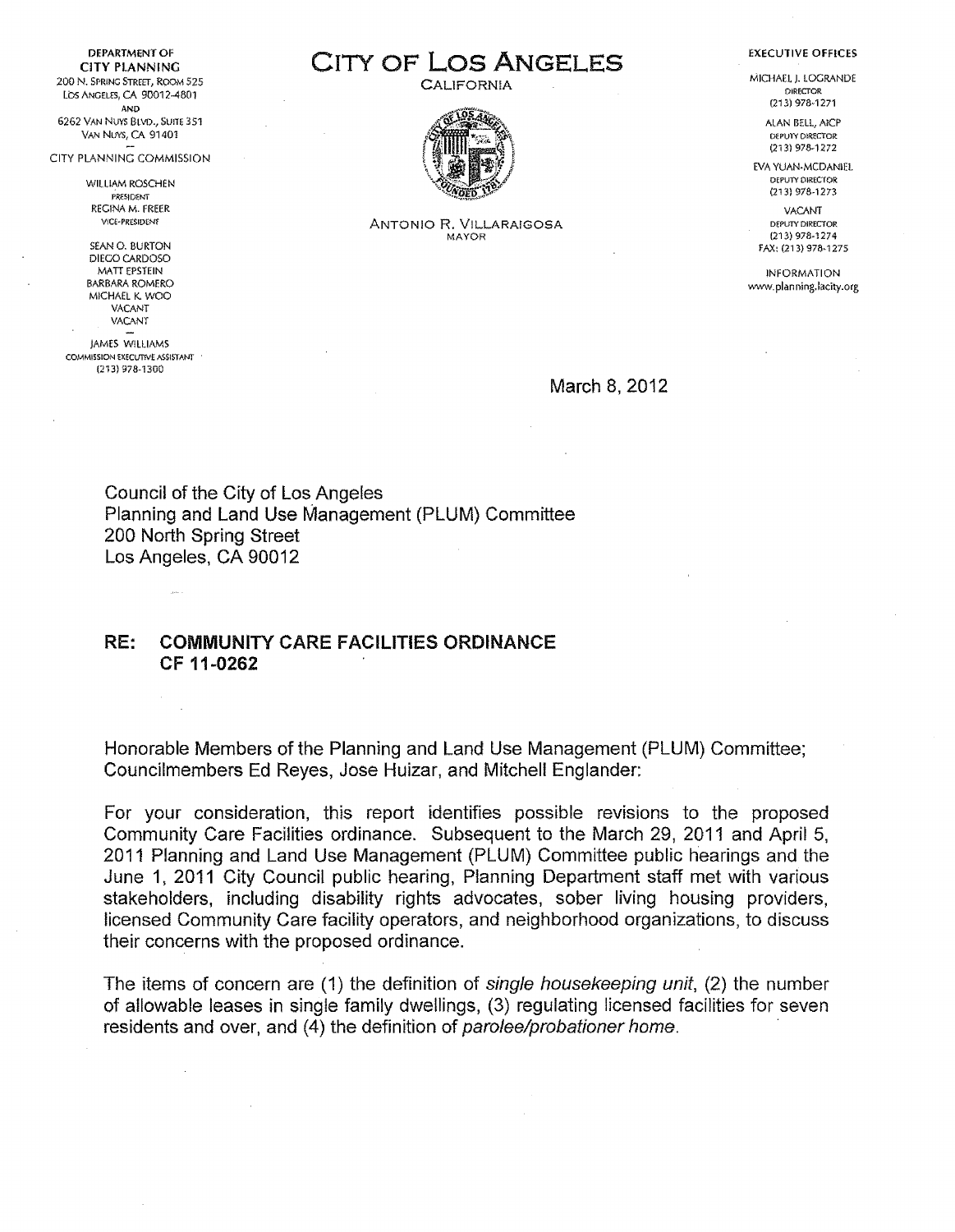DEPARTMENT OF CITY PLANNING :200 N. SPRING STRfET, ROOM 525 LOS ANGELES, CA 90012-4801 AND 6262 VAN NUYS BLVD., SUITE 351 VAN NUYS, CA 91401

CITY PLANNING COMMISSION

WILLIAM ROSCHEN PRESIDENT REGINA M. FREER VICE·PRESIDENf

SEAN 0. BURTON DIEGO CARDOSO MATT EPSTEIN BARBARA ROMERO MICHAEL K. WOO VACANT VACANT

JAMES WILLIAMS COMMISSION EXECUTIVE ASSISTANT (213) 978-1300

# CITY OF LOS ANGELES

**CALIFORNIA** 



EXECUTIVE OFFICES

MICHAEL). LOGRANDE **DIRECTOR** 1213) 978-1271

> ALAN BELL, AICP DEPUlY DIRECTOR (213) 978-1272

EVA YUAN-MCDANIEL DEPUTY DIRECTOR (213) 978-1273

VACANT DEPUTY DIRECTOR 1213) 978-1274 FAX: 1213) 978·1275

INFORMATION www. plan ning.lacity.org

ANTONIO R. VILLARAIGOSA MAYOR

March 8, 2012

Council of the City of Los Angeles Planning and Land Use Management (PLUM) Committee 200 North Spring Street Los Angeles, CA 90012

## RE: COMMUNITY CARE FACILITIES ORDINANCE CF 11~0262

Honorable Members of the Planning and Land Use Management (PLUM) Committee; Councilmembers Ed Reyes, Jose Huizar, and Mitchell Englander:

For your consideration, this report identifies possible revisions to the proposed Community Care Facilities ordinance. Subsequent to the March 29, 2011 and April 5, 2011 Planning and Land Use Management (PLUM) Committee public hearings and the June 1, 2011 City Council public hearing, Planning Department staff met with various stakeholders, including disability rights advocates, sober living housing providers, licensed Community Care facility operators, and neighborhood organizations, to discuss their concerns with the proposed ordinance.

The items of concern are (1) the definition of single housekeeping unit, (2) the number of allowable leases in single family dwellings, (3) regulating licensed facilities for seven residents and over, and (4) the definition of parolee/probationer home.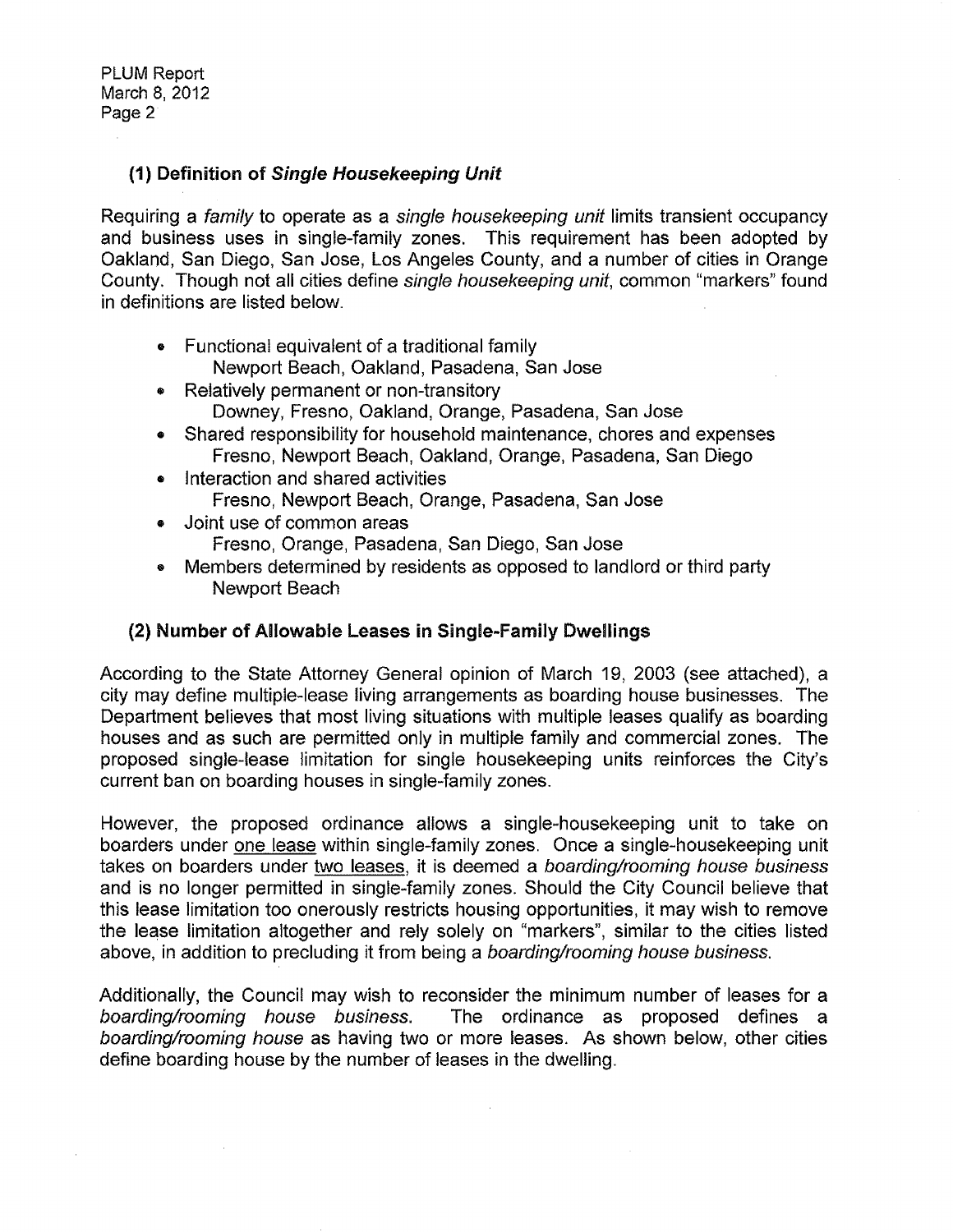## (1) Definition of Single Housekeeping Unit

Requiring a family to operate as a single housekeeping unit limits transient occupancy and business uses in single-family zones. This requirement has been adopted by Oakland, San Diego, San Jose, Los Angeles County, and a number of cities in Orange County. Though not all cities define single housekeeping unit, common "markers" found in definitions are listed below.

- Functional equivalent of a traditional family Newport Beach, Oakland, Pasadena, San Jose
- Relatively permanent or non-transitory Downey, Fresno, Oakland, Orange, Pasadena, San Jose
- Shared responsibility for household maintenance, chores and expenses Fresno, Newport Beach, Oakland, Orange, Pasadena, San Diego
- Interaction and shared activities Fresno, Newport Beach, Orange, Pasadena, San Jose
- Joint use of common areas Fresno, Orange, Pasadena, San Diego, San Jose
- Members determined by residents as opposed to landlord or third party Newport Beach

## (2) Number of Allowable Leases in Single-Family Dwellings

According to the State Attorney General opinion of March 19, 2003 (see attached), a city may define multiple-lease living arrangements as boarding house businesses. The Department believes that most living situations with multiple leases qualify as boarding houses and as such are permitted only in multiple family and commercial zones. The proposed single-lease limitation for single housekeeping units reinforces the City's current ban on boarding houses in single-family zones.

However, the proposed ordinance allows a single-housekeeping unit to take on boarders under one lease within single-family zones. Once a single-housekeeping unit takes on boarders under two leases, it is deemed a boarding/rooming house business and is no longer permitted in single-family zones. Should the City Council believe that this lease limitation too onerously restricts housing opportunities, it may wish to remove the lease limitation altogether and rely solely on "markers", similar to the cities listed above, in addition to precluding it from being a boarding/rooming house business.

Additionally, the Council may wish to reconsider the minimum number of leases for a boarding/rooming house business. The ordinance as proposed defines a boarding/rooming house as having two or more leases. As shown below, other cities define boarding house by the number of leases in the dwelling.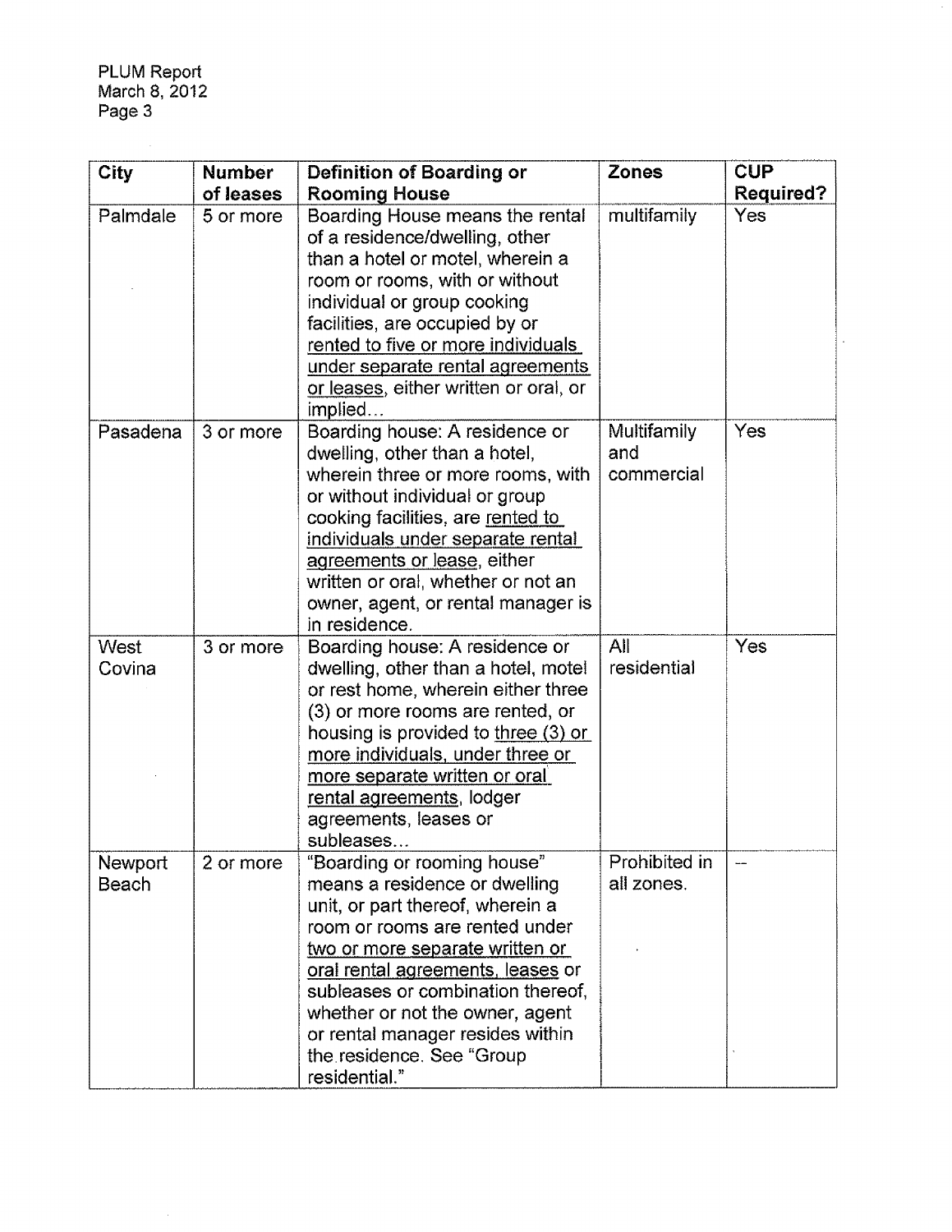PLUM Report March 8, 2012 Page 3

| City             | <b>Number</b><br>of leases | Definition of Boarding or<br><b>Rooming House</b>                                                                                                                                                                                                                                                                                                                    | Zones                            | <b>CUP</b><br>Required? |
|------------------|----------------------------|----------------------------------------------------------------------------------------------------------------------------------------------------------------------------------------------------------------------------------------------------------------------------------------------------------------------------------------------------------------------|----------------------------------|-------------------------|
| Palmdale         | 5 or more                  | Boarding House means the rental<br>of a residence/dwelling, other<br>than a hotel or motel, wherein a<br>room or rooms, with or without<br>individual or group cooking<br>facilities, are occupied by or<br>rented to five or more individuals<br>under separate rental agreements<br>or leases, either written or oral, or<br>implied                               | multifamily                      | Yes                     |
| Pasadena         | 3 or more                  | Boarding house: A residence or<br>dwelling, other than a hotel,<br>wherein three or more rooms, with<br>or without individual or group<br>cooking facilities, are rented to<br>individuals under separate rental<br>agreements or lease, either<br>written or oral, whether or not an<br>owner, agent, or rental manager is<br>in residence.                         | Multifamily<br>and<br>commercial | Yes                     |
| West<br>Covina   | 3 or more                  | Boarding house: A residence or<br>dwelling, other than a hotel, motel<br>or rest home, wherein either three<br>(3) or more rooms are rented, or<br>housing is provided to three (3) or<br>more individuals, under three or<br>more separate written or oral<br>rental agreements, lodger<br>agreements, leases or<br>subleases                                       | All<br>residential               | Yes                     |
| Newport<br>Beach | 2 or more                  | 'Boarding or rooming house"<br>means a residence or dwelling<br>unit, or part thereof, wherein a<br>room or rooms are rented under<br>two or more separate written or<br>oral rental agreements, leases or<br>subleases or combination thereof,<br>whether or not the owner, agent<br>or rental manager resides within<br>the residence. See "Group<br>residential." | Prohibited in<br>all zones.      |                         |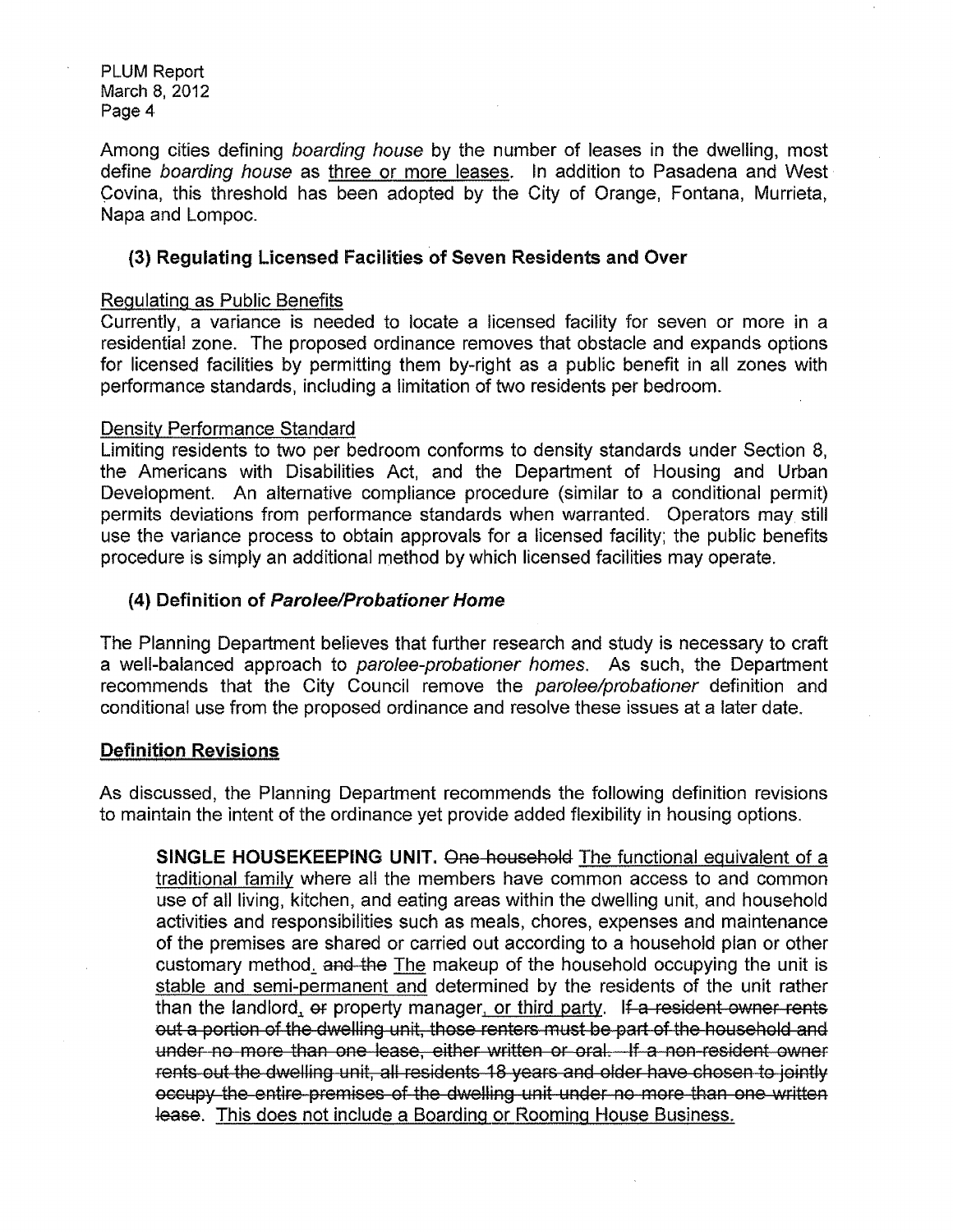PLUM Report March 8, 2012 Page 4

Among cities defining boarding house by the number of leases in the dwelling, most define boarding house as three or more leases. In addition to Pasadena and West Covina, this threshold has been adopted by the City of Orange, Fontana, Murrieta, Napa and Lompoc.

## (3) Regulating Licensed Facilities of Seven Residents and Over

### Regulating as Public Benefits

Currently, a variance is needed to locate a licensed facility for seven or more in a residential zone. The proposed ordinance removes that obstacle and expands options for licensed facilities by permitting them by-right as a public benefit in all zones with performance standards, including a limitation of two residents per bedroom.

## Density Performance Standard

Limiting residents to two per bedroom conforms to density standards under Section 8, the Americans with Disabilities Act, and the Department of Housing and Urban Development. An alternative compliance procedure (similar to a conditional permit) permits deviations from performance standards when warranted. Operators may still use the variance process to obtain approvals for a licensed facility; the public benefits procedure is simply an additional method by which licensed facilities may operate.

## (4) Definition of Parolee/Probationer Home

The Planning Department believes that further research and study is necessary to craft a well-balanced approach to parolee-probationer homes. As such, the Department recommends that the City Council remove the parolee/probationer definition and conditional use from the proposed ordinance and resolve these issues at a later date.

## Definition Revisions

As discussed, the Planning Department recommends the following definition revisions to maintain the intent of the ordinance yet provide added flexibility in housing options.

SINGLE HOUSEKEEPING UNIT. One household The functional equivalent of a traditional family where all the members have common access to and common use of all living, kitchen, and eating areas within the dwelling unit, and household activities and responsibilities such as meals, chores, expenses and maintenance of the premises are shared or carried out according to a household plan or other customary method. and the The makeup of the household occupying the unit is stable and semi-permanent and determined by the residents of the unit rather than the landlord, or property manager, or third party. If a resident owner rents out a portion of the dwelling unit, those renters must be part of the household and under no more than one lease, either written or oral. If a non-resident owner rents out the dwelling unit, all residents 18 years and older have chosen to jointly occupy the entire premises of the dwelling unit under no more than one written lease. This does not include a Boarding or Rooming House Business.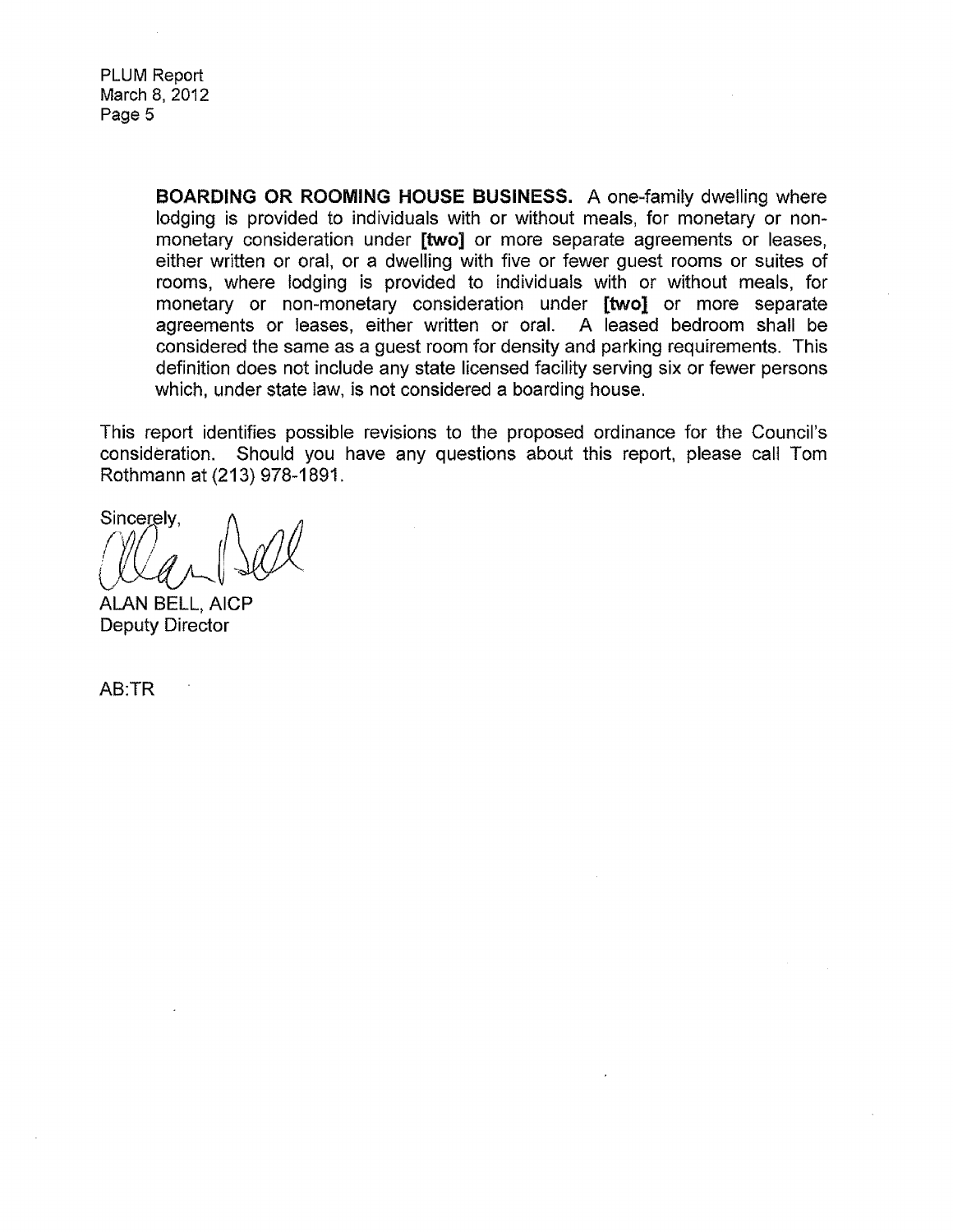PLUM Report March 8, 2012 Page 5

> **BOARDING OR ROOMING HOUSE BUSINESS.** A one-family dwelling where lodging is provided to individuals with or without meals, for monetary or nonmonetary consideration under [two] or more separate agreements or leases, either written or oral, or a dwelling with five or fewer guest rooms or suites of rooms, where lodging is provided to individuals with or without meals, for monetary or non-monetary consideration under **[two}** or more separate agreements or leases, either written or oral. A leased bedroom shall be considered the same as a guest room for density and parking requirements. This definition does not include any state licensed facility serving six or fewer persons which, under state law, is not considered a boarding house.

This report identifies possible revisions to the proposed ordinance for the Council's consideration. Should you have any questions about this report, please call Tom Rathmann at (213) 978-1891.

Sincerely.

ALAN BELL, AICP Deputy Director

AB:TR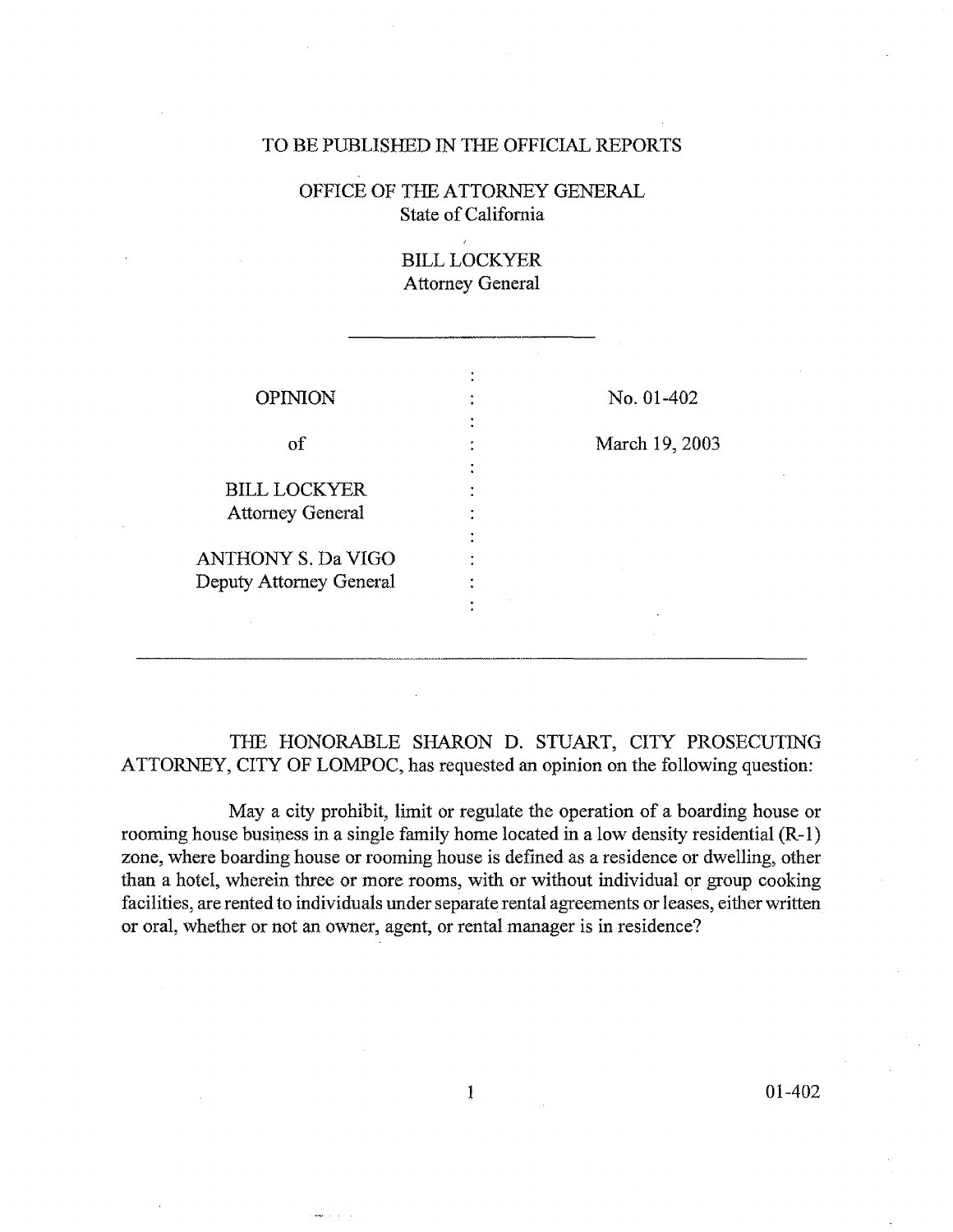### TO BE PUBLISHED IN THE OFFICIAL REPORTS

## OFFICE OF THE ATTORNEY GENERAL State of California

BILL LOCKYER Attorney General

| <b>OPINION</b>            |        | No. 01-402     |
|---------------------------|--------|----------------|
|                           |        |                |
| of                        | ٠<br>٠ | March 19, 2003 |
|                           |        |                |
| <b>BILL LOCKYER</b>       |        |                |
| <b>Attorney General</b>   |        |                |
|                           |        |                |
|                           |        |                |
| <b>ANTHONY S. Da VIGO</b> |        |                |
| Deputy Attorney General   |        |                |
|                           | $\sim$ |                |
|                           |        | $\cdot$        |

THE HONORABLE SHARON D. STUART, CITY PROSECUTING ATTORNEY, CITY OF LOMPOC, has requested an opinion on the following question:

May a city prohibit, limit or regulate the operation of a boarding house or rooming house business in a single family home located in a low density residential  $(R-1)$ zone, where boarding house or rooming house is defined as a residence or dwelling, other than a hotel, wherein three or more rooms, with or without individual or group cooking facilities, are rented to individuals under separate rental agreements or leases, either written or oral, whether or not an owner, agent, or rental manager is in residence?

1 01-402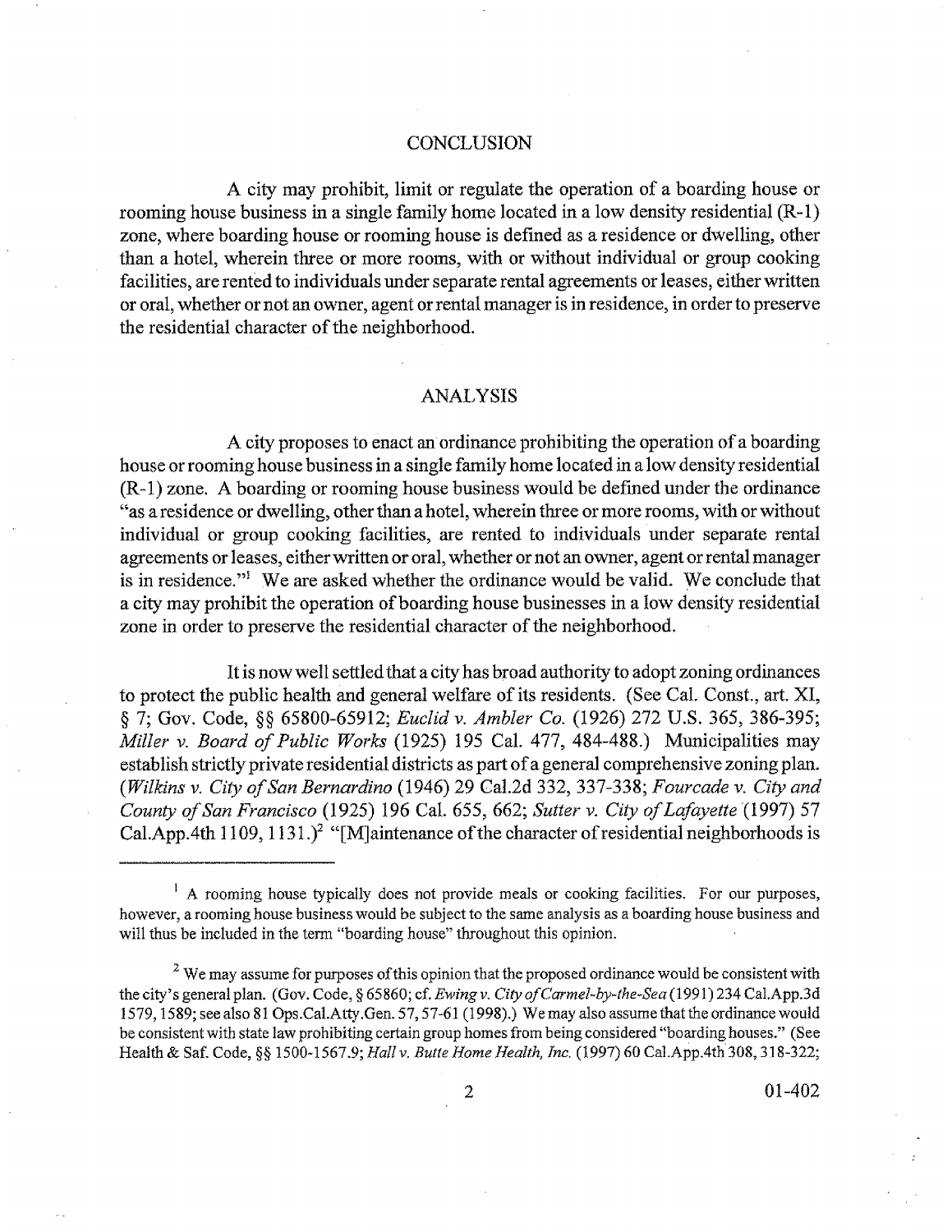#### **CONCLUSION**

A city may prohibit, limit or regulate the operation of a boarding house or rooming house business in a single family home located in a low density residential (R-1) zone, where boarding house or rooming house is defined as a residence or dwelling, other than a hotel, wherein three or more rooms, with or without individual or group cooking facilities, are rented to individuals under separate rental agreements or leases, either written or oral) whether or not an owner, agent or rental manager is in residence, in order to preserve the residential character of the neighborhood.

#### ANALYSIS

A city proposes to enact an ordinance prohibiting the operation of a boarding house or rooming house business in a single family home located in a low density residential (R-1) zone. A boarding or rooming house business would be defmed under the ordinance "as a residence or dwelling, other than a hotel, wherein three or more rooms, with or without individual or group cooking facilities, are rented to individuals under separate rental agreements or leases, either written or oral, whether or not an owner, agent or rental manager is in residence." We are asked whether the ordinance would be valid. We conclude that a city may prohibit the operation of boarding house businesses in a low density residential zone in order to preserve the residential character of the neighborhood.

It is now well settled that a city has broad authority to adopt zoning ordinances to protect the public health and general welfare of its residents. (See Cal. Const., art. XI, § 7; Gov. Code, §§ 65800-65912; *Euclid v. Ambler Co.* (1926) 272 U.S. 365, 386-395; *Miller v. Board of Public Works* (1925) 195 Cal. 477, 484-488.) Municipalities may establish strictly private residential districts as part of a general comprehensive zoning plan. *(Wilkins v. City of San Bernardino* (1946) 29 Cal.2d 332, 337-338; *Fourcade v. City and County of San Francisco* ( 1925) 196 Cal. 655, 662; *Sutter v. City of Lafayette* ( 1997) 57 Cal.App.4th 1109, 1131.)<sup>2</sup> "[M]aintenance of the character of residential neighborhoods is

2 01-402

 $<sup>1</sup>$  A rooming house typically does not provide meals or cooking facilities. For our purposes,</sup> however, a rooming house business would be subject to the same analysis as a boarding house business and will thus be included in the term "boarding house" throughout this opinion.

<sup>&</sup>lt;sup>2</sup> We may assume for purposes of this opinion that the proposed ordinance would be consistent with the city's general plan. (Gov. Code, § 65 860; cf. *Ewing v. City ofCarmel-by-the-Sea* ( 1991) 234 Cal.App.3 d 1579, 1589; see also 81 Ops.Cal.Atty.Gen. 57, 57-61 (1998).) We may also assume that the ordinance would be consistent with state law prohibiting certain group homes from being considered "boarding houses." (See Health & Saf. Code, §§ 1500-1567.9; *Hall v. Butte Home Health, Inc.* (1997) 60 Cal.App.4th 308, 318-322;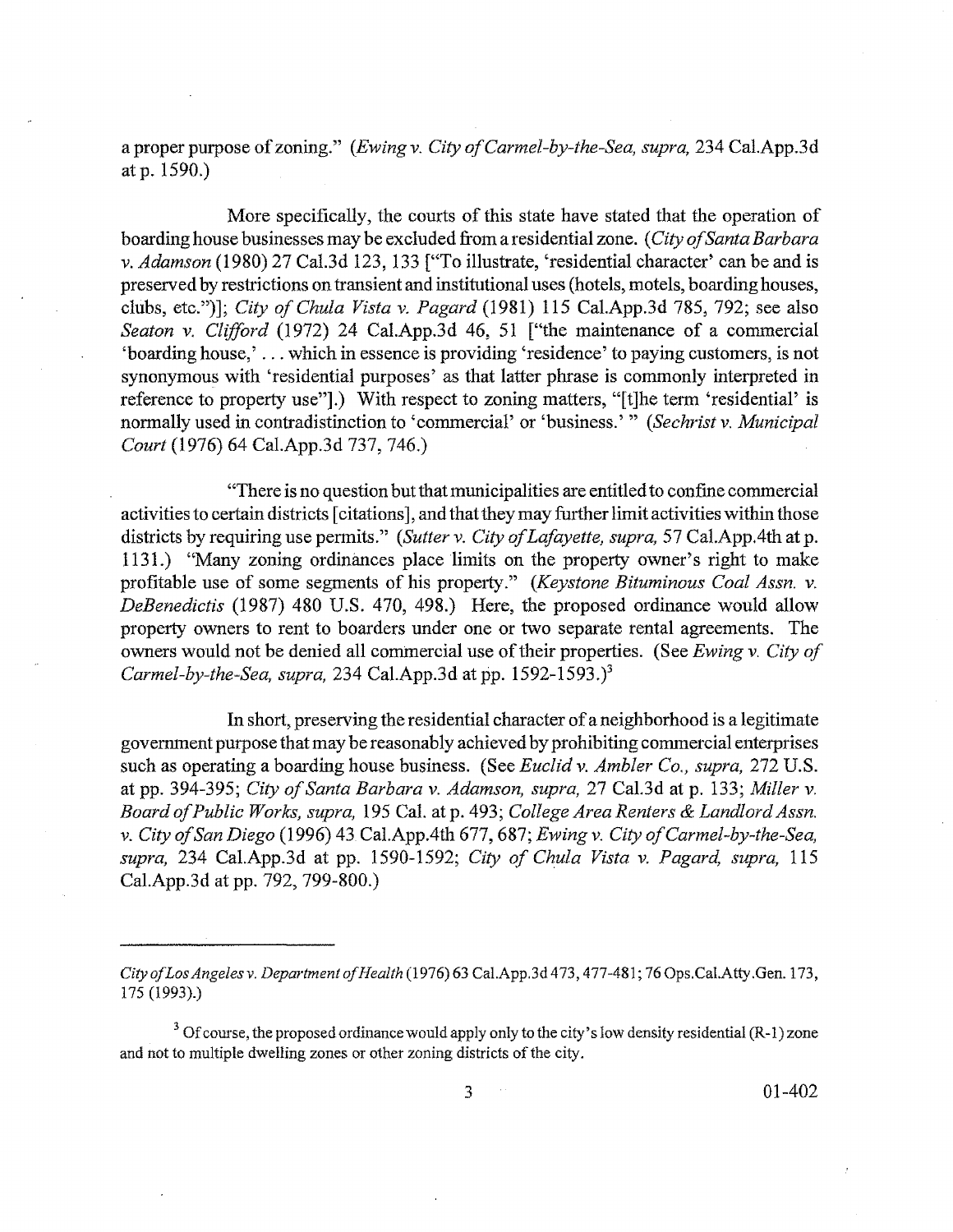a proper purpose of zoning." *(Ewing v. City of Carmel-by-the-Sea, supra,* 234 Cal.App.3d at p. 1590.)

More specifically, the courts of this state have stated that the operation of boarding house businesses may be excluded from a residential zone. *(City of Santa Barbara v. Adamson* (1980) 27 Cal.3d 123, 133 ["To illustrate, 'residential character' can be and is preserved by restrictions on transient and institutional uses (hotels, motels, boarding houses, clubs, etc.")]; *City of Chula Vista v. Pagard* (1981) 115 Cal.App.3d 785, 792; see also *Seaton v. Clifford* (1972) 24 Cal.App.3d 46, 51 ["the maintenance of a commercial 'boarding house,' ... which in essence is providing 'residence' to paying customers, is not synonymous with 'residential purposes' as that latter phrase is commonly interpreted in reference to property use"].) With respect to zoning matters, "[t]he term 'residential' is normally used in contradistinction to 'commercial' or 'business.'" *(Sechrist v. Municipal Court* (1976) 64 Cal.App.3d 737, 746.)

"There is no question but that municipalities are entitled to confine conunercial activities to certain districts [citations], and that they may further limit activities within those districts by requiring use permits." *(Sutter v. City of Lafayette, supra,* 57 Cal.App.4th at p. 1131.) "Many zoning ordinances place limits on the property owner's right to make profitable use of some segments of his property." *(Keystone Bituminous Coal Assn. v. DeBenedictis* (1987) 480 U.S. 470, 498.) Here, the proposed ordinance would allow property owners to rent to boarders under one or two separate rental agreements. The owners would not be denied all commercial use of their properties. (See *Ewing v. City of Carmel-by-the-Sea, supra,* 234 Cal.App.3d at pp. 1592-1593.)3

In short, preserving the residential character of a neighborhood is a legitimate government purpose that may be reasonably achieved by prohibiting commercial enterprises such as operating a boarding house business. (See *Euclid v. Ambler Co., supra,* 272 U.S. at pp. 394-395; *City of Santa Barbara v. Adamson, supra,* 27 Cal.3d at p. 133; *Miller v. Board ofPublic Works, supra,* 195 Cal. at p. 493; *College Area Renters* & *Landlord Assn. v. City of San Diego* (1996) 43 Cal.App.4th 677, 687; *Ewing v. City of Carmel-by-the-Sea, supra,* 234 Cal.App.3d at pp. 1590-1592; *City of Chula Vista v. Pagard, supra,* 115 Cal.App.3d at pp. 792, 799-800.)

 $3 \t 01-402$ 

*CityofLosAngelesv. DepartmentofHealth* (1976) 63 Cal.App.3d473, 477-481; 76 Ops.Cal.Atty.Gen. 173, 175 (1993).)

 $3$  Of course, the proposed ordinance would apply only to the city's low density residential (R-1) zone and not to multiple dwelling zones or other zoning districts of the city.